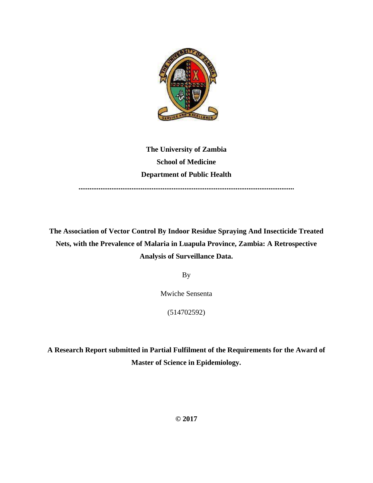

**The University of Zambia School of Medicine Department of Public Health**

**......................................................................................................................**

**The Association of Vector Control By Indoor Residue Spraying And Insecticide Treated Nets, with the Prevalence of Malaria in Luapula Province, Zambia: A Retrospective Analysis of Surveillance Data.**

By

Mwiche Sensenta

(514702592)

**A Research Report submitted in Partial Fulfilment of the Requirements for the Award of Master of Science in Epidemiology.**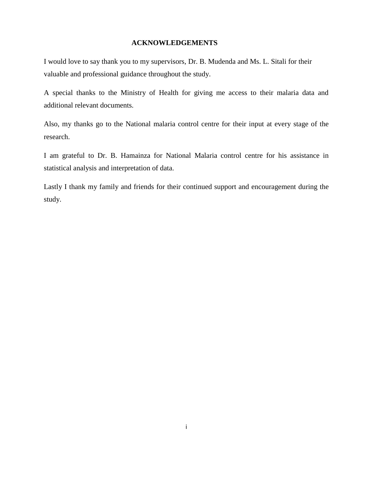### **ACKNOWLEDGEMENTS**

I would love to say thank you to my supervisors, Dr. B. Mudenda and Ms. L. Sitali for their valuable and professional guidance throughout the study.

A special thanks to the Ministry of Health for giving me access to their malaria data and additional relevant documents.

Also, my thanks go to the National malaria control centre for their input at every stage of the research.

I am grateful to Dr. B. Hamainza for National Malaria control centre for his assistance in statistical analysis and interpretation of data.

Lastly I thank my family and friends for their continued support and encouragement during the study.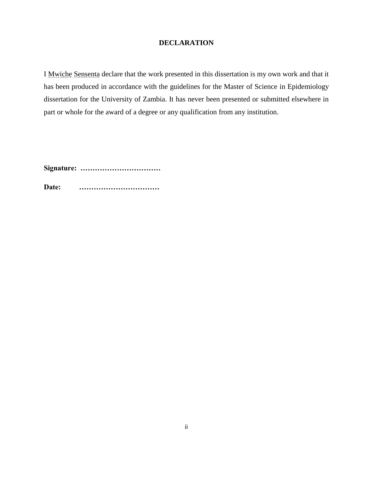## **DECLARATION**

<span id="page-2-0"></span>I Mwiche Sensenta declare that the work presented in this dissertation is my own work and that it has been produced in accordance with the guidelines for the Master of Science in Epidemiology dissertation for the University of Zambia. It has never been presented or submitted elsewhere in part or whole for the award of a degree or any qualification from any institution.

**Signature: ……………………………**

**Date: ……………………………**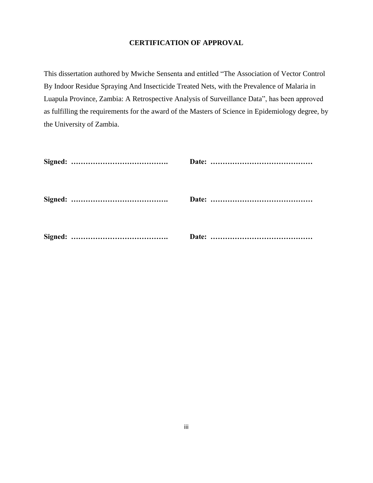## **CERTIFICATION OF APPROVAL**

This dissertation authored by Mwiche Sensenta and entitled "The Association of Vector Control By Indoor Residue Spraying And Insecticide Treated Nets, with the Prevalence of Malaria in Luapula Province, Zambia: A Retrospective Analysis of Surveillance Data", has been approved as fulfilling the requirements for the award of the Masters of Science in Epidemiology degree, by the University of Zambia.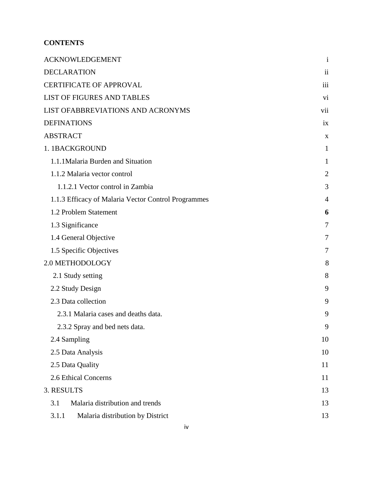# **CONTENTS**

| <b>ACKNOWLEDGEMENT</b>                              | $\mathbf{1}$   |
|-----------------------------------------------------|----------------|
| <b>DECLARATION</b>                                  | ii             |
| <b>CERTIFICATE OF APPROVAL</b>                      | iii            |
| <b>LIST OF FIGURES AND TABLES</b>                   | vi             |
| LIST OFABBREVIATIONS AND ACRONYMS                   | vii            |
| <b>DEFINATIONS</b>                                  | ix             |
| <b>ABSTRACT</b>                                     | X              |
| 1. 1BACKGROUND                                      | $\mathbf{1}$   |
| 1.1.1 Malaria Burden and Situation                  | 1              |
| 1.1.2 Malaria vector control                        | $\overline{2}$ |
| 1.1.2.1 Vector control in Zambia                    | 3              |
| 1.1.3 Efficacy of Malaria Vector Control Programmes | $\overline{4}$ |
| 1.2 Problem Statement                               | 6              |
| 1.3 Significance                                    | 7              |
| 1.4 General Objective                               | 7              |
| 1.5 Specific Objectives                             | 7              |
| 2.0 METHODOLOGY                                     | 8              |
| 2.1 Study setting                                   | 8              |
| 2.2 Study Design                                    | 9              |
| 2.3 Data collection                                 | 9              |
| 2.3.1 Malaria cases and deaths data.                | 9              |
| 2.3.2 Spray and bed nets data.                      | q              |
| 2.4 Sampling                                        | 10             |
| 2.5 Data Analysis                                   | 10             |
| 2.5 Data Quality                                    | 11             |
| 2.6 Ethical Concerns                                | 11             |
| 3. RESULTS                                          | 13             |
| 3.1<br>Malaria distribution and trends              | 13             |
| 3.1.1<br>Malaria distribution by District           | 13             |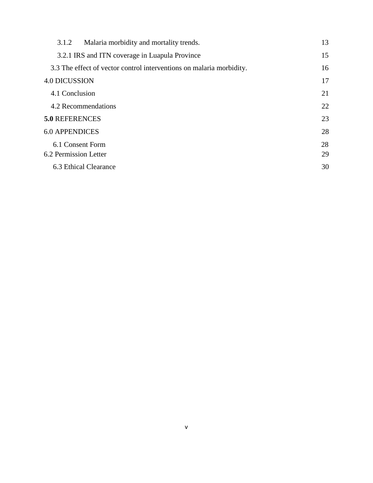| Malaria morbidity and mortality trends.<br>3.1.2                     | 13 |
|----------------------------------------------------------------------|----|
| 3.2.1 IRS and ITN coverage in Luapula Province                       | 15 |
| 3.3 The effect of vector control interventions on malaria morbidity. | 16 |
| <b>4.0 DICUSSION</b>                                                 | 17 |
| 4.1 Conclusion                                                       | 21 |
| 4.2 Recommendations                                                  | 22 |
| <b>5.0 REFERENCES</b>                                                | 23 |
| <b>6.0 APPENDICES</b>                                                | 28 |
| 6.1 Consent Form                                                     | 28 |
| 6.2 Permission Letter                                                | 29 |
| 6.3 Ethical Clearance                                                | 30 |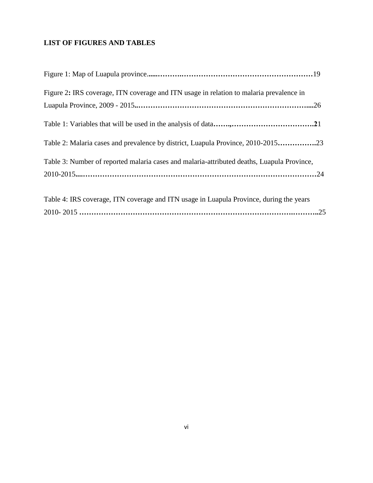# **LIST OF FIGURES AND TABLES**

| Figure 2: IRS coverage, ITN coverage and ITN usage in relation to malaria prevalence in    |  |
|--------------------------------------------------------------------------------------------|--|
|                                                                                            |  |
|                                                                                            |  |
| Table 2: Malaria cases and prevalence by district, Luapula Province, 2010-201523           |  |
| Table 3: Number of reported malaria cases and malaria-attributed deaths, Luapula Province, |  |
|                                                                                            |  |
|                                                                                            |  |
| Table 4: IRS coverage, ITN coverage and ITN usage in Luapula Province, during the years    |  |
|                                                                                            |  |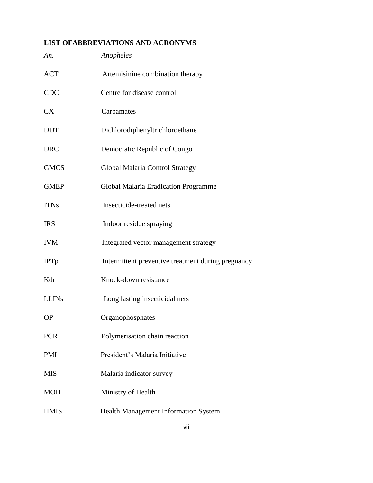# <span id="page-7-0"></span>**LIST OFABBREVIATIONS AND ACRONYMS**

| An.          | Anopheles                                          |
|--------------|----------------------------------------------------|
| <b>ACT</b>   | Artemisinine combination therapy                   |
| <b>CDC</b>   | Centre for disease control                         |
| <b>CX</b>    | Carbamates                                         |
| <b>DDT</b>   | Dichlorodiphenyltrichloroethane                    |
| <b>DRC</b>   | Democratic Republic of Congo                       |
| <b>GMCS</b>  | Global Malaria Control Strategy                    |
| <b>GMEP</b>  | <b>Global Malaria Eradication Programme</b>        |
| <b>ITNs</b>  | Insecticide-treated nets                           |
| <b>IRS</b>   | Indoor residue spraying                            |
| <b>IVM</b>   | Integrated vector management strategy              |
| <b>IPTp</b>  | Intermittent preventive treatment during pregnancy |
| Kdr          | Knock-down resistance                              |
| <b>LLINs</b> | Long lasting insecticidal nets                     |
| <b>OP</b>    | Organophosphates                                   |
| <b>PCR</b>   | Polymerisation chain reaction                      |
| PMI          | President's Malaria Initiative                     |
| <b>MIS</b>   | Malaria indicator survey                           |
| <b>MOH</b>   | Ministry of Health                                 |
| <b>HMIS</b>  | Health Management Information System               |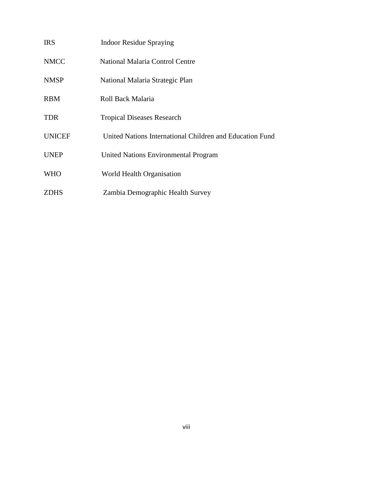<span id="page-8-0"></span>

| <b>IRS</b>    | <b>Indoor Residue Spraying</b>                           |
|---------------|----------------------------------------------------------|
| <b>NMCC</b>   | National Malaria Control Centre                          |
| <b>NMSP</b>   | National Malaria Strategic Plan                          |
| <b>RBM</b>    | Roll Back Malaria                                        |
| <b>TDR</b>    | <b>Tropical Diseases Research</b>                        |
| <b>UNICEF</b> | United Nations International Children and Education Fund |
| <b>UNEP</b>   | <b>United Nations Environmental Program</b>              |
| <b>WHO</b>    | World Health Organisation                                |
| <b>ZDHS</b>   | Zambia Demographic Health Survey                         |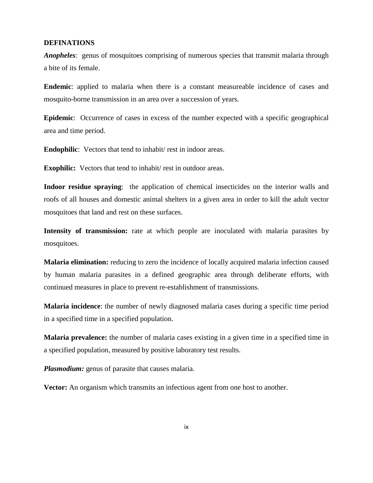#### **DEFINATIONS**

*Anopheles*: genus of mosquitoes comprising of numerous species that transmit malaria through a bite of its female.

**Endemic**: applied to malaria when there is a constant measureable incidence of cases and mosquito-borne transmission in an area over a succession of years.

**Epidemic**: Occurrence of cases in excess of the number expected with a specific geographical area and time period.

**Endophilic**: Vectors that tend to inhabit/ rest in indoor areas.

**Exophilic:** Vectors that tend to inhabit/ rest in outdoor areas.

**Indoor residue spraying**: the application of chemical insecticides on the interior walls and roofs of all houses and domestic animal shelters in a given area in order to kill the adult vector mosquitoes that land and rest on these surfaces.

Intensity of transmission: rate at which people are inoculated with malaria parasites by mosquitoes.

**Malaria elimination:** reducing to zero the incidence of locally acquired malaria infection caused by human malaria parasites in a defined geographic area through deliberate efforts, with continued measures in place to prevent re-establishment of transmissions.

**Malaria incidence**: the number of newly diagnosed malaria cases during a specific time period in a specified time in a specified population.

**Malaria prevalence:** the number of malaria cases existing in a given time in a specified time in a specified population, measured by positive laboratory test results.

*Plasmodium:* genus of parasite that causes malaria.

**Vector:** An organism which transmits an infectious agent from one host to another.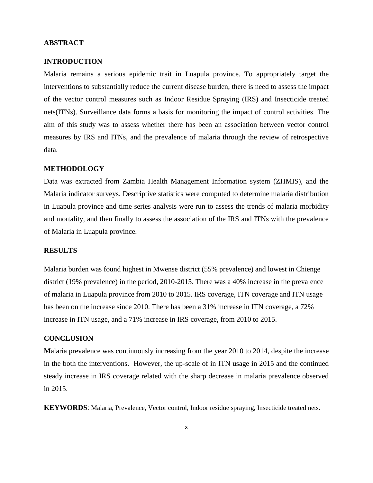### <span id="page-10-0"></span>**ABSTRACT**

### **INTRODUCTION**

Malaria remains a serious epidemic trait in Luapula province. To appropriately target the interventions to substantially reduce the current disease burden, there is need to assess the impact of the vector control measures such as Indoor Residue Spraying (IRS) and Insecticide treated nets(ITNs). Surveillance data forms a basis for monitoring the impact of control activities. The aim of this study was to assess whether there has been an association between vector control measures by IRS and ITNs, and the prevalence of malaria through the review of retrospective data.

#### **METHODOLOGY**

Data was extracted from Zambia Health Management Information system (ZHMIS), and the Malaria indicator surveys. Descriptive statistics were computed to determine malaria distribution in Luapula province and time series analysis were run to assess the trends of malaria morbidity and mortality, and then finally to assess the association of the IRS and ITNs with the prevalence of Malaria in Luapula province.

#### **RESULTS**

Malaria burden was found highest in Mwense district (55% prevalence) and lowest in Chienge district (19% prevalence) in the period, 2010-2015. There was a 40% increase in the prevalence of malaria in Luapula province from 2010 to 2015. IRS coverage, ITN coverage and ITN usage has been on the increase since 2010. There has been a 31% increase in ITN coverage, a 72% increase in ITN usage, and a 71% increase in IRS coverage, from 2010 to 2015.

#### **CONCLUSION**

**M**alaria prevalence was continuously increasing from the year 2010 to 2014, despite the increase in the both the interventions. However, the up-scale of in ITN usage in 2015 and the continued steady increase in IRS coverage related with the sharp decrease in malaria prevalence observed in 2015.

**KEYWORDS**: Malaria, Prevalence, Vector control, Indoor residue spraying, Insecticide treated nets.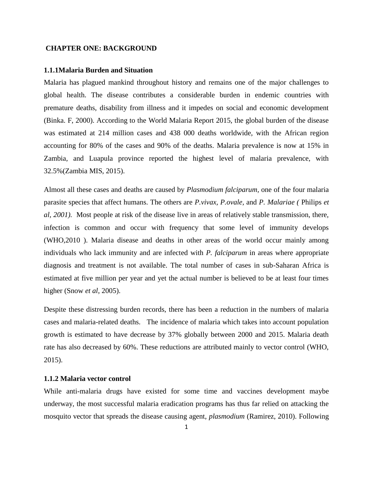#### <span id="page-11-0"></span>**CHAPTER ONE: BACKGROUND**

#### <span id="page-11-1"></span>**1.1.1Malaria Burden and Situation**

Malaria has plagued mankind throughout history and remains one of the major challenges to global health. The disease contributes a considerable burden in endemic countries with premature deaths, disability from illness and it impedes on social and economic development (Binka. F, 2000). According to the World Malaria Report 2015, the global burden of the disease was estimated at 214 million cases and 438 000 deaths worldwide, with the African region accounting for 80% of the cases and 90% of the deaths. Malaria prevalence is now at 15% in Zambia, and Luapula province reported the highest level of malaria prevalence, with 32.5%(Zambia MIS, 2015).

Almost all these cases and deaths are caused by *Plasmodium falciparum,* one of the four malaria parasite species that affect humans. The others are *P.vivax, P.ovale,* and *P. Malariae (* Philips *et al, 2001).* Most people at risk of the disease live in areas of relatively stable transmission, there, infection is common and occur with frequency that some level of immunity develops (WHO,2010 ). Malaria disease and deaths in other areas of the world occur mainly among individuals who lack immunity and are infected with *P. falciparum* in areas where appropriate diagnosis and treatment is not available. The total number of cases in sub-Saharan Africa is estimated at five million per year and yet the actual number is believed to be at least four times higher (Snow *et al*, 2005).

Despite these distressing burden records, there has been a reduction in the numbers of malaria cases and malaria-related deaths. The incidence of malaria which takes into account population growth is estimated to have decrease by 37% globally between 2000 and 2015. Malaria death rate has also decreased by 60%. These reductions are attributed mainly to vector control (WHO, 2015).

#### <span id="page-11-2"></span>**1.1.2 Malaria vector control**

While anti-malaria drugs have existed for some time and vaccines development maybe underway, the most successful malaria eradication programs has thus far relied on attacking the mosquito vector that spreads the disease causing agent, *plasmodium* (Ramirez, 2010). Following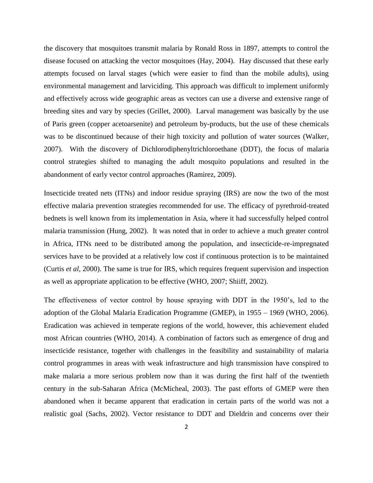the discovery that mosquitoes transmit malaria by Ronald Ross in 1897, attempts to control the disease focused on attacking the vector mosquitoes (Hay, 2004). Hay discussed that these early attempts focused on larval stages (which were easier to find than the mobile adults), using environmental management and larviciding. This approach was difficult to implement uniformly and effectively across wide geographic areas as vectors can use a diverse and extensive range of breeding sites and vary by species (Grillet, 2000). Larval management was basically by the use of Paris green (copper acetoarsenite) and petroleum by-products, but the use of these chemicals was to be discontinued because of their high toxicity and pollution of water sources (Walker, 2007). With the discovery of Dichlorodiphenyltrichloroethane (DDT), the focus of malaria control strategies shifted to managing the adult mosquito populations and resulted in the abandonment of early vector control approaches (Ramirez, 2009).

Insecticide treated nets (ITNs) and indoor residue spraying (IRS) are now the two of the most effective malaria prevention strategies recommended for use. The efficacy of pyrethroid-treated bednets is well known from its implementation in Asia, where it had successfully helped control malaria transmission (Hung, 2002). It was noted that in order to achieve a much greater control in Africa, ITNs need to be distributed among the population, and insecticide-re-impregnated services have to be provided at a relatively low cost if continuous protection is to be maintained (Curtis *et al*, 2000). The same is true for IRS, which requires frequent supervision and inspection as well as appropriate application to be effective (WHO, 2007; Shiiff, 2002).

The effectiveness of vector control by house spraying with DDT in the 1950's, led to the adoption of the Global Malaria Eradication Programme (GMEP), in 1955 – 1969 (WHO, 2006). Eradication was achieved in temperate regions of the world, however, this achievement eluded most African countries (WHO, 2014). A combination of factors such as emergence of drug and insecticide resistance, together with challenges in the feasibility and sustainability of malaria control programmes in areas with weak infrastructure and high transmission have conspired to make malaria a more serious problem now than it was during the first half of the twentieth century in the sub-Saharan Africa (McMicheal, 2003). The past efforts of GMEP were then abandoned when it became apparent that eradication in certain parts of the world was not a realistic goal (Sachs, 2002). Vector resistance to DDT and Dieldrin and concerns over their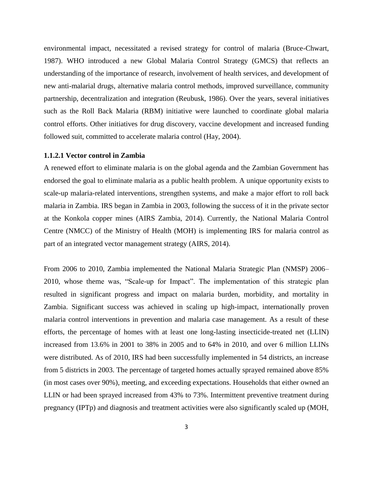environmental impact, necessitated a revised strategy for control of malaria (Bruce-Chwart, 1987). WHO introduced a new Global Malaria Control Strategy (GMCS) that reflects an understanding of the importance of research, involvement of health services, and development of new anti-malarial drugs, alternative malaria control methods, improved surveillance, community partnership, decentralization and integration (Reubusk, 1986). Over the years, several initiatives such as the Roll Back Malaria (RBM) initiative were launched to coordinate global malaria control efforts. Other initiatives for drug discovery, vaccine development and increased funding followed suit, committed to accelerate malaria control (Hay, 2004).

#### <span id="page-13-0"></span>**1.1.2.1 Vector control in Zambia**

A renewed effort to eliminate malaria is on the global agenda and the Zambian Government has endorsed the goal to eliminate malaria as a public health problem. A unique opportunity exists to scale-up malaria-related interventions, strengthen systems, and make a major effort to roll back malaria in Zambia. IRS began in Zambia in 2003, following the success of it in the private sector at the Konkola copper mines (AIRS Zambia, 2014). Currently, the National Malaria Control Centre (NMCC) of the Ministry of Health (MOH) is implementing IRS for malaria control as part of an integrated vector management strategy (AIRS, 2014).

From 2006 to 2010, Zambia implemented the National Malaria Strategic Plan (NMSP) 2006– 2010, whose theme was, "Scale-up for Impact". The implementation of this strategic plan resulted in significant progress and impact on malaria burden, morbidity, and mortality in Zambia. Significant success was achieved in scaling up high-impact, internationally proven malaria control interventions in prevention and malaria case management. As a result of these efforts, the percentage of homes with at least one long-lasting insecticide-treated net (LLIN) increased from 13.6% in 2001 to 38% in 2005 and to 64% in 2010, and over 6 million LLINs were distributed. As of 2010, IRS had been successfully implemented in 54 districts, an increase from 5 districts in 2003. The percentage of targeted homes actually sprayed remained above 85% (in most cases over 90%), meeting, and exceeding expectations. Households that either owned an LLIN or had been sprayed increased from 43% to 73%. Intermittent preventive treatment during pregnancy (IPTp) and diagnosis and treatment activities were also significantly scaled up (MOH,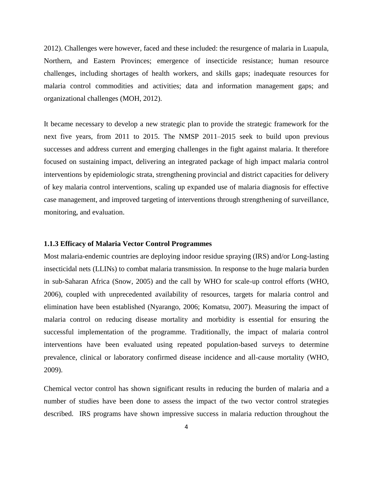2012). Challenges were however, faced and these included: the resurgence of malaria in Luapula, Northern, and Eastern Provinces; emergence of insecticide resistance; human resource challenges, including shortages of health workers, and skills gaps; inadequate resources for malaria control commodities and activities; data and information management gaps; and organizational challenges (MOH, 2012).

It became necessary to develop a new strategic plan to provide the strategic framework for the next five years, from 2011 to 2015. The NMSP 2011–2015 seek to build upon previous successes and address current and emerging challenges in the fight against malaria. It therefore focused on sustaining impact, delivering an integrated package of high impact malaria control interventions by epidemiologic strata, strengthening provincial and district capacities for delivery of key malaria control interventions, scaling up expanded use of malaria diagnosis for effective case management, and improved targeting of interventions through strengthening of surveillance, monitoring, and evaluation.

#### <span id="page-14-0"></span>**1.1.3 Efficacy of Malaria Vector Control Programmes**

Most malaria-endemic countries are deploying indoor residue spraying (IRS) and/or Long-lasting insecticidal nets (LLINs) to combat malaria transmission. In response to the huge malaria burden in sub-Saharan Africa (Snow, 2005) and the call by WHO for scale-up control efforts (WHO, 2006), coupled with unprecedented availability of resources, targets for malaria control and elimination have been established (Nyarango, 2006; Komatsu, 2007). Measuring the impact of malaria control on reducing disease mortality and morbidity is essential for ensuring the successful implementation of the programme. Traditionally, the impact of malaria control interventions have been evaluated using repeated population-based surveys to determine prevalence, clinical or laboratory confirmed disease incidence and all-cause mortality (WHO, 2009).

Chemical vector control has shown significant results in reducing the burden of malaria and a number of studies have been done to assess the impact of the two vector control strategies described. IRS programs have shown impressive success in malaria reduction throughout the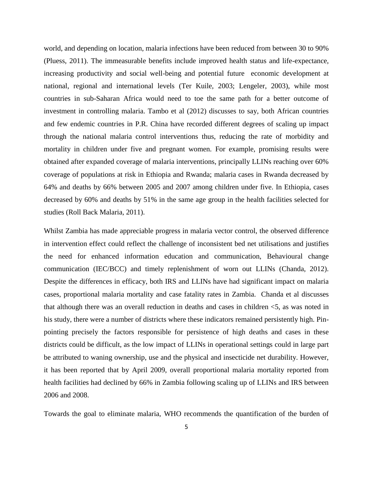world, and depending on location, malaria infections have been reduced from between 30 to 90% (Pluess, 2011). The immeasurable benefits include improved health status and life-expectance, increasing productivity and social well-being and potential future economic development at national, regional and international levels (Ter Kuile, 2003; Lengeler, 2003), while most countries in sub-Saharan Africa would need to toe the same path for a better outcome of investment in controlling malaria. Tambo et al (2012) discusses to say, both African countries and few endemic countries in P.R. China have recorded different degrees of scaling up impact through the national malaria control interventions thus, reducing the rate of morbidity and mortality in children under five and pregnant women. For example, promising results were obtained after expanded coverage of malaria interventions, principally LLINs reaching over 60% coverage of populations at risk in Ethiopia and Rwanda; malaria cases in Rwanda decreased by 64% and deaths by 66% between 2005 and 2007 among children under five. In Ethiopia, cases decreased by 60% and deaths by 51% in the same age group in the health facilities selected for studies (Roll Back Malaria, 2011).

Whilst Zambia has made appreciable progress in malaria vector control, the observed difference in intervention effect could reflect the challenge of inconsistent bed net utilisations and justifies the need for enhanced information education and communication, Behavioural change communication (IEC/BCC) and timely replenishment of worn out LLINs (Chanda, 2012). Despite the differences in efficacy, both IRS and LLINs have had significant impact on malaria cases, proportional malaria mortality and case fatality rates in Zambia. Chanda et al discusses that although there was an overall reduction in deaths and cases in children <5, as was noted in his study, there were a number of districts where these indicators remained persistently high. Pinpointing precisely the factors responsible for persistence of high deaths and cases in these districts could be difficult, as the low impact of LLINs in operational settings could in large part be attributed to waning ownership, use and the physical and insecticide net durability. However, it has been reported that by April 2009, overall proportional malaria mortality reported from health facilities had declined by 66% in Zambia following scaling up of LLINs and IRS between 2006 and 2008.

Towards the goal to eliminate malaria, WHO recommends the quantification of the burden of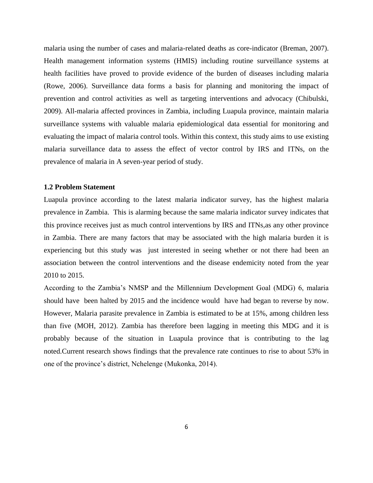malaria using the number of cases and malaria-related deaths as core-indicator (Breman, 2007). Health management information systems (HMIS) including routine surveillance systems at health facilities have proved to provide evidence of the burden of diseases including malaria (Rowe, 2006). Surveillance data forms a basis for planning and monitoring the impact of prevention and control activities as well as targeting interventions and advocacy (Chibulski, 2009). All-malaria affected provinces in Zambia, including Luapula province, maintain malaria surveillance systems with valuable malaria epidemiological data essential for monitoring and evaluating the impact of malaria control tools. Within this context, this study aims to use existing malaria surveillance data to assess the effect of vector control by IRS and ITNs, on the prevalence of malaria in A seven-year period of study.

#### <span id="page-16-0"></span>**1.2 Problem Statement**

Luapula province according to the latest malaria indicator survey, has the highest malaria prevalence in Zambia. This is alarming because the same malaria indicator survey indicates that this province receives just as much control interventions by IRS and ITNs,as any other province in Zambia. There are many factors that may be associated with the high malaria burden it is experiencing but this study was just interested in seeing whether or not there had been an association between the control interventions and the disease endemicity noted from the year 2010 to 2015.

According to the Zambia's NMSP and the Millennium Development Goal (MDG) 6, malaria should have been halted by 2015 and the incidence would have had began to reverse by now. However, Malaria parasite prevalence in Zambia is estimated to be at 15%, among children less than five (MOH, 2012). Zambia has therefore been lagging in meeting this MDG and it is probably because of the situation in Luapula province that is contributing to the lag noted.Current research shows findings that the prevalence rate continues to rise to about 53% in one of the province's district, Nchelenge (Mukonka, 2014).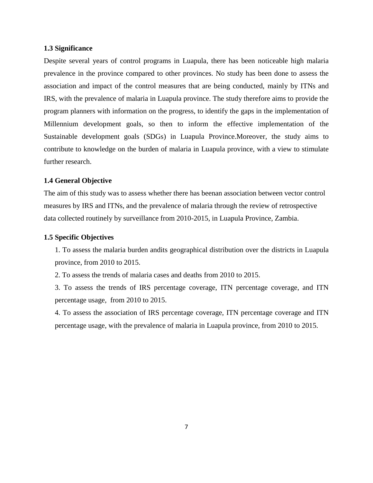#### <span id="page-17-0"></span>**1.3 Significance**

Despite several years of control programs in Luapula, there has been noticeable high malaria prevalence in the province compared to other provinces. No study has been done to assess the association and impact of the control measures that are being conducted, mainly by ITNs and IRS, with the prevalence of malaria in Luapula province. The study therefore aims to provide the program planners with information on the progress, to identify the gaps in the implementation of Millennium development goals, so then to inform the effective implementation of the Sustainable development goals (SDGs) in Luapula Province.Moreover, the study aims to contribute to knowledge on the burden of malaria in Luapula province, with a view to stimulate further research.

#### <span id="page-17-1"></span>**1.4 General Objective**

The aim of this study was to assess whether there has beenan association between vector control measures by IRS and ITNs, and the prevalence of malaria through the review of retrospective data collected routinely by surveillance from 2010-2015, in Luapula Province, Zambia.

#### <span id="page-17-2"></span>**1.5 Specific Objectives**

1. To assess the malaria burden andits geographical distribution over the districts in Luapula province, from 2010 to 2015.

2. To assess the trends of malaria cases and deaths from 2010 to 2015.

3. To assess the trends of IRS percentage coverage, ITN percentage coverage, and ITN percentage usage, from 2010 to 2015.

4. To assess the association of IRS percentage coverage, ITN percentage coverage and ITN percentage usage, with the prevalence of malaria in Luapula province, from 2010 to 2015.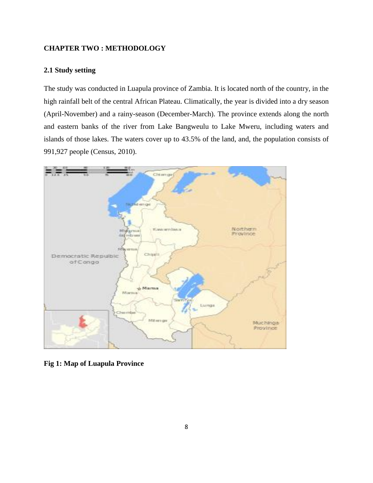## <span id="page-18-0"></span>**CHAPTER TWO : METHODOLOGY**

### **2.1 Study setting**

The study was conducted in Luapula province of Zambia. It is located north of the country, in the high rainfall belt of the central African Plateau. Climatically, the year is divided into a dry season (April-November) and a rainy-season (December-March). The province extends along the north and eastern banks of the river from Lake Bangweulu to Lake Mweru, including waters and islands of those lakes. The waters cover up to 43.5% of the land, and, the population consists of 991,927 people (Census, 2010).



**Fig 1: Map of Luapula Province**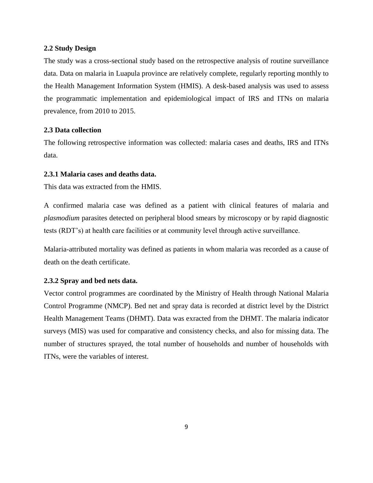#### <span id="page-19-0"></span>**2.2 Study Design**

The study was a cross-sectional study based on the retrospective analysis of routine surveillance data. Data on malaria in Luapula province are relatively complete, regularly reporting monthly to the Health Management Information System (HMIS). A desk-based analysis was used to assess the programmatic implementation and epidemiological impact of IRS and ITNs on malaria prevalence, from 2010 to 2015.

#### <span id="page-19-1"></span>**2.3 Data collection**

The following retrospective information was collected: malaria cases and deaths, IRS and ITNs data.

## <span id="page-19-2"></span>**2.3.1 Malaria cases and deaths data.**

This data was extracted from the HMIS.

A confirmed malaria case was defined as a patient with clinical features of malaria and *plasmodium* parasites detected on peripheral blood smears by microscopy or by rapid diagnostic tests (RDT's) at health care facilities or at community level through active surveillance.

Malaria-attributed mortality was defined as patients in whom malaria was recorded as a cause of death on the death certificate.

#### <span id="page-19-3"></span>**2.3.2 Spray and bed nets data.**

Vector control programmes are coordinated by the Ministry of Health through National Malaria Control Programme (NMCP). Bed net and spray data is recorded at district level by the District Health Management Teams (DHMT). Data was exracted from the DHMT. The malaria indicator surveys (MIS) was used for comparative and consistency checks, and also for missing data. The number of structures sprayed, the total number of households and number of households with ITNs, were the variables of interest.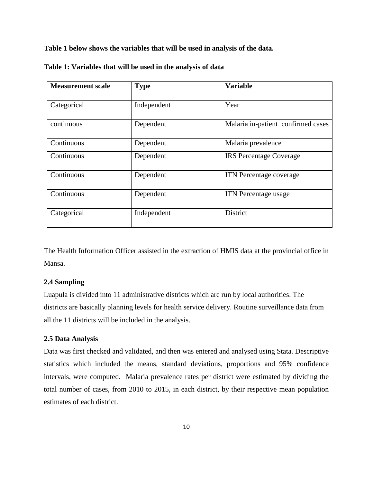**Table 1 below shows the variables that will be used in analysis of the data.**

| <b>Measurement scale</b> | <b>Type</b> | <b>Variable</b>                    |
|--------------------------|-------------|------------------------------------|
| Categorical              | Independent | Year                               |
| continuous               | Dependent   | Malaria in-patient confirmed cases |
| Continuous               | Dependent   | Malaria prevalence                 |
| Continuous               | Dependent   | <b>IRS</b> Percentage Coverage     |
| Continuous               | Dependent   | <b>ITN</b> Percentage coverage     |
| Continuous               | Dependent   | ITN Percentage usage               |
| Categorical              | Independent | <b>District</b>                    |

**Table 1: Variables that will be used in the analysis of data**

The Health Information Officer assisted in the extraction of HMIS data at the provincial office in Mansa.

#### <span id="page-20-0"></span>**2.4 Sampling**

Luapula is divided into 11 administrative districts which are run by local authorities. The districts are basically planning levels for health service delivery. Routine surveillance data from all the 11 districts will be included in the analysis.

## <span id="page-20-1"></span>**2.5 Data Analysis**

Data was first checked and validated, and then was entered and analysed using Stata. Descriptive statistics which included the means, standard deviations, proportions and 95% confidence intervals, were computed. Malaria prevalence rates per district were estimated by dividing the total number of cases, from 2010 to 2015, in each district, by their respective mean population estimates of each district.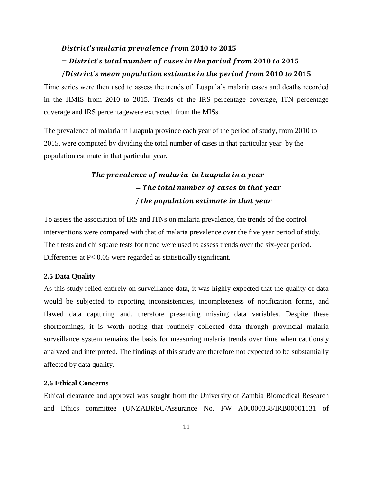# District's malaria prevalence from 2010 to 2015  $=$  District's total number of cases in the period from 2010 to 2015 /District's mean population estimate in the period from 2010 to 2015

Time series were then used to assess the trends of Luapula's malaria cases and deaths recorded in the HMIS from 2010 to 2015. Trends of the IRS percentage coverage, ITN percentage coverage and IRS percentagewere extracted from the MISs.

The prevalence of malaria in Luapula province each year of the period of study, from 2010 to 2015, were computed by dividing the total number of cases in that particular year by the population estimate in that particular year.

# The prevalence of malaria in Luapula in a year  $=$  The total number of cases in that year / the population estimate in that year

To assess the association of IRS and ITNs on malaria prevalence, the trends of the control interventions were compared with that of malaria prevalence over the five year period of stidy. The t tests and chi square tests for trend were used to assess trends over the six-year period. Differences at P< 0.05 were regarded as statistically significant.

#### **2.5 Data Quality**

As this study relied entirely on surveillance data, it was highly expected that the quality of data would be subjected to reporting inconsistencies, incompleteness of notification forms, and flawed data capturing and, therefore presenting missing data variables. Despite these shortcomings, it is worth noting that routinely collected data through provincial malaria surveillance system remains the basis for measuring malaria trends over time when cautiously analyzed and interpreted. The findings of this study are therefore not expected to be substantially affected by data quality.

#### <span id="page-21-0"></span>**2.6 Ethical Concerns**

Ethical clearance and approval was sought from the University of Zambia Biomedical Research and Ethics committee (UNZABREC/Assurance No. FW A00000338/IRB00001131 of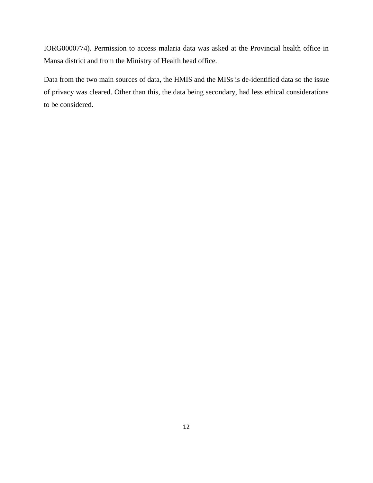IORG0000774). Permission to access malaria data was asked at the Provincial health office in Mansa district and from the Ministry of Health head office.

Data from the two main sources of data, the HMIS and the MISs is de-identified data so the issue of privacy was cleared. Other than this, the data being secondary, had less ethical considerations to be considered.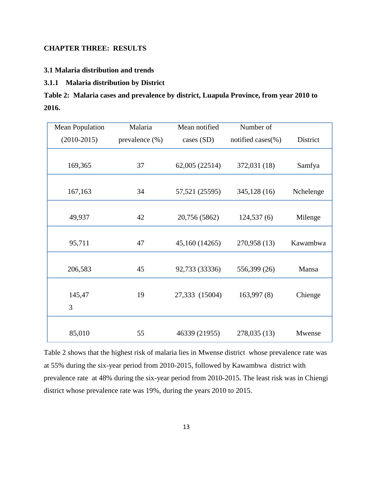## <span id="page-23-0"></span>**CHAPTER THREE: RESULTS**

<span id="page-23-1"></span>**3.1 Malaria distribution and trends**

# <span id="page-23-2"></span>**3.1.1 Malaria distribution by District**

|       | Table 2: Malaria cases and prevalence by district, Luapula Province, from year 2010 to |
|-------|----------------------------------------------------------------------------------------|
| 2016. |                                                                                        |

| <b>Mean Population</b> | Malaria            | Mean notified  | Number of              |           |
|------------------------|--------------------|----------------|------------------------|-----------|
| $(2010-2015)$          | prevalence $(\% )$ | cases (SD)     | notified cases $(\% )$ | District  |
| 169,365                | 37                 | 62,005 (22514) | 372,031 (18)           | Samfya    |
| 167,163                | 34                 | 57,521 (25595) | 345,128(16)            | Nchelenge |
| 49,937                 | 42                 | 20,756 (5862)  | 124,537(6)             | Milenge   |
| 95,711                 | 47                 | 45,160 (14265) | 270,958 (13)           | Kawambwa  |
| 206,583                | 45                 | 92,733 (33336) | 556,399 (26)           | Mansa     |
| 145,47<br>3            | 19                 | 27,333 (15004) | 163,997(8)             | Chienge   |
| 85,010                 | 55                 | 46339 (21955)  | 278,035 (13)           | Mwense    |

<span id="page-23-3"></span>Table 2 shows that the highest risk of malaria lies in Mwense district whose prevalence rate was at 55% during the six-year period from 2010-2015, followed by Kawambwa district with prevalence rate at 48% during the six-year period from 2010-2015. The least risk was in Chiengi district whose prevalence rate was 19%, during the years 2010 to 2015.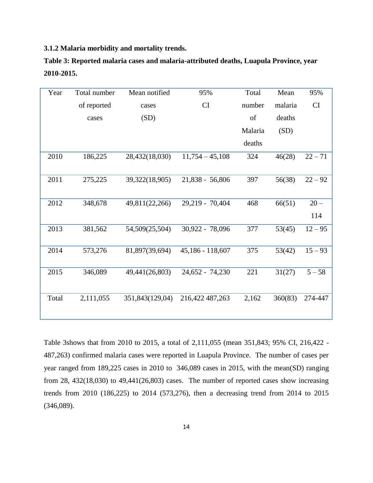**3.1.2 Malaria morbidity and mortality trends.**

| Year  | Total number | Mean notified   | 95%               | Total   | Mean    | 95%       |
|-------|--------------|-----------------|-------------------|---------|---------|-----------|
|       | of reported  | cases           | CI                | number  | malaria | CI        |
|       | cases        | (SD)            |                   | of      | deaths  |           |
|       |              |                 |                   | Malaria | (SD)    |           |
|       |              |                 |                   | deaths  |         |           |
| 2010  | 186,225      | 28,432(18,030)  | $11,754 - 45,108$ | 324     | 46(28)  | $22 - 71$ |
|       |              |                 |                   |         |         |           |
| 2011  | 275,225      | 39,322(18,905)  | $21,838 - 56,806$ | 397     | 56(38)  | $22 - 92$ |
|       |              |                 |                   |         |         |           |
| 2012  | 348,678      | 49,811(22,266)  | 29,219 - 70,404   | 468     | 66(51)  | $20 -$    |
|       |              |                 |                   |         |         | 114       |
| 2013  | 381,562      | 54,509(25,504)  | 30,922 - 78,096   | 377     | 53(45)  | $12 - 95$ |
|       |              |                 |                   |         |         |           |
| 2014  | 573,276      | 81,897(39,694)  | 45,186 - 118,607  | 375     | 53(42)  | $15 - 93$ |
|       |              |                 |                   |         |         |           |
| 2015  | 346,089      | 49,441(26,803)  | 24,652 - 74,230   | 221     | 31(27)  | $5 - 58$  |
|       |              |                 |                   |         |         |           |
| Total | 2,111,055    | 351,843(129,04) | 216,422 487,263   | 2,162   | 360(83) | 274-447   |
|       |              |                 |                   |         |         |           |

**Table 3: Reported malaria cases and malaria-attributed deaths, Luapula Province, year 2010-2015.**

Table 3shows that from 2010 to 2015, a total of 2,111,055 (mean 351,843; 95% CI, 216,422 - 487,263) confirmed malaria cases were reported in Luapula Province. The number of cases per year ranged from 189,225 cases in 2010 to 346,089 cases in 2015, with the mean(SD) ranging from 28, 432(18,030) to 49,441(26,803) cases. The number of reported cases show increasing trends from 2010 (186,225) to 2014 (573,276), then a decreasing trend from 2014 to 2015 (346,089).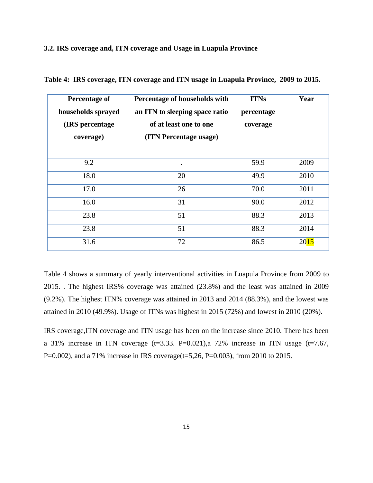#### <span id="page-25-0"></span>**3.2. IRS coverage and, ITN coverage and Usage in Luapula Province**

| <b>Percentage of</b><br>households sprayed<br>(IRS percentage)<br>coverage) | Percentage of households with<br>an ITN to sleeping space ratio<br>of at least one to one<br>(ITN Percentage usage) | <b>ITNs</b><br>percentage<br>coverage | Year |
|-----------------------------------------------------------------------------|---------------------------------------------------------------------------------------------------------------------|---------------------------------------|------|
| 9.2                                                                         | $\bullet$                                                                                                           | 59.9                                  | 2009 |
| 18.0                                                                        | 20                                                                                                                  | 49.9                                  | 2010 |
| 17.0                                                                        | 26                                                                                                                  | 70.0                                  | 2011 |
| 16.0                                                                        | 31                                                                                                                  | 90.0                                  | 2012 |
| 23.8                                                                        | 51                                                                                                                  | 88.3                                  | 2013 |
| 23.8                                                                        | 51                                                                                                                  | 88.3                                  | 2014 |
| 31.6                                                                        | 72                                                                                                                  | 86.5                                  | 2015 |

**Table 4: IRS coverage, ITN coverage and ITN usage in Luapula Province, 2009 to 2015.**

Table 4 shows a summary of yearly interventional activities in Luapula Province from 2009 to 2015. . The highest IRS% coverage was attained (23.8%) and the least was attained in 2009 (9.2%). The highest ITN% coverage was attained in 2013 and 2014 (88.3%), and the lowest was attained in 2010 (49.9%). Usage of ITNs was highest in 2015 (72%) and lowest in 2010 (20%).

IRS coverage,ITN coverage and ITN usage has been on the increase since 2010. There has been a 31% increase in ITN coverage  $(t=3.33. P=0.021)$ , a 72% increase in ITN usage  $(t=7.67,$ P=0.002), and a 71% increase in IRS coverage( $t=5,26$ , P=0.003), from 2010 to 2015.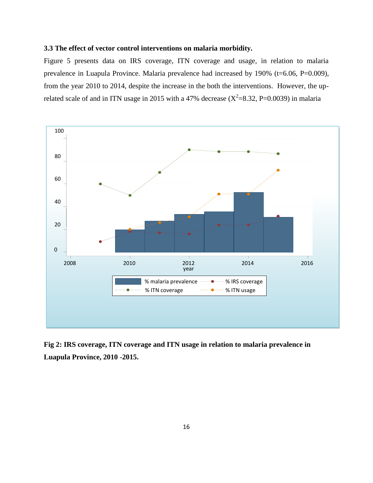### <span id="page-26-0"></span>**3.3 The effect of vector control interventions on malaria morbidity.**

Figure 5 presents data on IRS coverage, ITN coverage and usage, in relation to malaria prevalence in Luapula Province. Malaria prevalence had increased by 190% (t=6.06, P=0.009), from the year 2010 to 2014, despite the increase in the both the interventions. However, the uprelated scale of and in ITN usage in 2015 with a 47% decrease  $(X^2=8.32, P=0.0039)$  in malaria



**Fig 2: IRS coverage, ITN coverage and ITN usage in relation to malaria prevalence in Luapula Province, 2010 -2015.**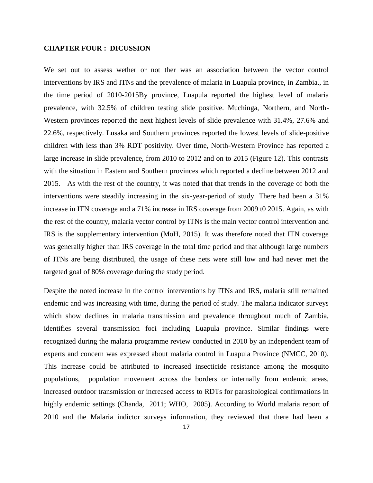#### <span id="page-27-0"></span>**CHAPTER FOUR : DICUSSION**

We set out to assess wether or not ther was an association between the vector control interventions by IRS and ITNs and the prevalence of malaria in Luapula province, in Zambia., in the time period of 2010-2015By province, Luapula reported the highest level of malaria prevalence, with 32.5% of children testing slide positive. Muchinga, Northern, and North-Western provinces reported the next highest levels of slide prevalence with 31.4%, 27.6% and 22.6%, respectively. Lusaka and Southern provinces reported the lowest levels of slide-positive children with less than 3% RDT positivity. Over time, North-Western Province has reported a large increase in slide prevalence, from 2010 to 2012 and on to 2015 (Figure 12). This contrasts with the situation in Eastern and Southern provinces which reported a decline between 2012 and 2015. As with the rest of the country, it was noted that that trends in the coverage of both the interventions were steadily increasing in the six-year-period of study. There had been a 31% increase in ITN coverage and a 71% increase in IRS coverage from 2009 t0 2015. Again, as with the rest of the country, malaria vector control by ITNs is the main vector control intervention and IRS is the supplementary intervention (MoH, 2015). It was therefore noted that ITN coverage was generally higher than IRS coverage in the total time period and that although large numbers of ITNs are being distributed, the usage of these nets were still low and had never met the targeted goal of 80% coverage during the study period.

Despite the noted increase in the control interventions by ITNs and IRS, malaria still remained endemic and was increasing with time, during the period of study. The malaria indicator surveys which show declines in malaria transmission and prevalence throughout much of Zambia, identifies several transmission foci including Luapula province. Similar findings were recognized during the malaria programme review conducted in 2010 by an independent team of experts and concern was expressed about malaria control in Luapula Province (NMCC, 2010). This increase could be attributed to increased insecticide resistance among the mosquito populations, population movement across the borders or internally from endemic areas, increased outdoor transmission or increased access to RDTs for parasitological confirmations in highly endemic settings (Chanda, 2011; WHO, 2005). According to World malaria report of 2010 and the Malaria indictor surveys information, they reviewed that there had been a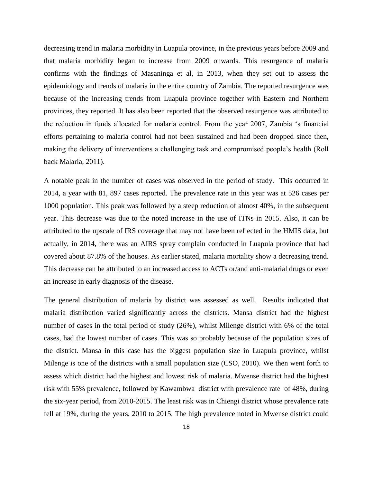decreasing trend in malaria morbidity in Luapula province, in the previous years before 2009 and that malaria morbidity began to increase from 2009 onwards. This resurgence of malaria confirms with the findings of Masaninga et al, in 2013, when they set out to assess the epidemiology and trends of malaria in the entire country of Zambia. The reported resurgence was because of the increasing trends from Luapula province together with Eastern and Northern provinces, they reported. It has also been reported that the observed resurgence was attributed to the reduction in funds allocated for malaria control. From the year 2007, Zambia 's financial efforts pertaining to malaria control had not been sustained and had been dropped since then, making the delivery of interventions a challenging task and compromised people's health (Roll back Malaria, 2011).

A notable peak in the number of cases was observed in the period of study. This occurred in 2014, a year with 81, 897 cases reported. The prevalence rate in this year was at 526 cases per 1000 population. This peak was followed by a steep reduction of almost 40%, in the subsequent year. This decrease was due to the noted increase in the use of ITNs in 2015. Also, it can be attributed to the upscale of IRS coverage that may not have been reflected in the HMIS data, but actually, in 2014, there was an AIRS spray complain conducted in Luapula province that had covered about 87.8% of the houses. As earlier stated, malaria mortality show a decreasing trend. This decrease can be attributed to an increased access to ACTs or/and anti-malarial drugs or even an increase in early diagnosis of the disease.

The general distribution of malaria by district was assessed as well. Results indicated that malaria distribution varied significantly across the districts. Mansa district had the highest number of cases in the total period of study (26%), whilst Milenge district with 6% of the total cases, had the lowest number of cases. This was so probably because of the population sizes of the district. Mansa in this case has the biggest population size in Luapula province, whilst Milenge is one of the districts with a small population size (CSO, 2010). We then went forth to assess which district had the highest and lowest risk of malaria. Mwense district had the highest risk with 55% prevalence, followed by Kawambwa district with prevalence rate of 48%, during the six-year period, from 2010-2015. The least risk was in Chiengi district whose prevalence rate fell at 19%, during the years, 2010 to 2015. The high prevalence noted in Mwense district could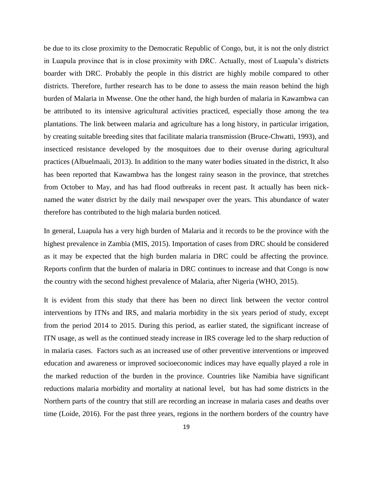be due to its close proximity to the Democratic Republic of Congo, but, it is not the only district in Luapula province that is in close proximity with DRC. Actually, most of Luapula's districts boarder with DRC. Probably the people in this district are highly mobile compared to other districts. Therefore, further research has to be done to assess the main reason behind the high burden of Malaria in Mwense. One the other hand, the high burden of malaria in Kawambwa can be attributed to its intensive agricultural activities practiced, especially those among the tea plantations. The link between malaria and agriculture has a long history, in particular irrigation, by creating suitable breeding sites that facilitate malaria transmission (Bruce-Chwatti, 1993), and insecticed resistance developed by the mosquitoes due to their overuse during agricultural practices (Albuelmaali, 2013). In addition to the many water bodies situated in the district, It also has been reported that Kawambwa has the longest rainy season in the province, that stretches from October to May, and has had flood outbreaks in recent past. It actually has been nicknamed the water district by the daily mail newspaper over the years. This abundance of water therefore has contributed to the high malaria burden noticed.

In general, Luapula has a very high burden of Malaria and it records to be the province with the highest prevalence in Zambia (MIS, 2015). Importation of cases from DRC should be considered as it may be expected that the high burden malaria in DRC could be affecting the province. Reports confirm that the burden of malaria in DRC continues to increase and that Congo is now the country with the second highest prevalence of Malaria, after Nigeria (WHO, 2015).

It is evident from this study that there has been no direct link between the vector control interventions by ITNs and IRS, and malaria morbidity in the six years period of study, except from the period 2014 to 2015. During this period, as earlier stated, the significant increase of ITN usage, as well as the continued steady increase in IRS coverage led to the sharp reduction of in malaria cases. Factors such as an increased use of other preventive interventions or improved education and awareness or improved socioeconomic indices may have equally played a role in the marked reduction of the burden in the province. Countries like Namibia have significant reductions malaria morbidity and mortality at national level, but has had some districts in the Northern parts of the country that still are recording an increase in malaria cases and deaths over time (Loide, 2016). For the past three years, regions in the northern borders of the country have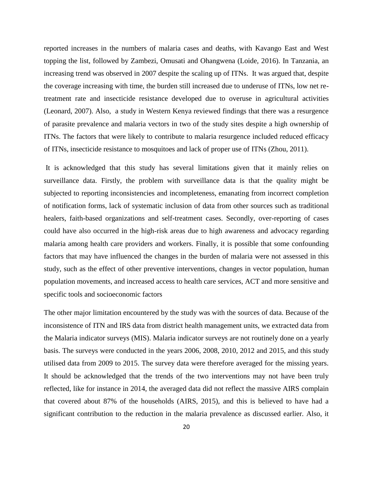reported increases in the numbers of malaria cases and deaths, with Kavango East and West topping the list, followed by Zambezi, Omusati and Ohangwena (Loide, 2016). In Tanzania, an increasing trend was observed in 2007 despite the scaling up of ITNs. It was argued that, despite the coverage increasing with time, the burden still increased due to underuse of ITNs, low net retreatment rate and insecticide resistance developed due to overuse in agricultural activities (Leonard, 2007). Also, a study in Western Kenya reviewed findings that there was a resurgence of parasite prevalence and malaria vectors in two of the study sites despite a high ownership of ITNs. The factors that were likely to contribute to malaria resurgence included reduced efficacy of ITNs, insecticide resistance to mosquitoes and lack of proper use of ITNs (Zhou, 2011).

It is acknowledged that this study has several limitations given that it mainly relies on surveillance data. Firstly, the problem with surveillance data is that the quality might be subjected to reporting inconsistencies and incompleteness, emanating from incorrect completion of notification forms, lack of systematic inclusion of data from other sources such as traditional healers, faith-based organizations and self-treatment cases. Secondly, over-reporting of cases could have also occurred in the high-risk areas due to high awareness and advocacy regarding malaria among health care providers and workers. Finally, it is possible that some confounding factors that may have influenced the changes in the burden of malaria were not assessed in this study, such as the effect of other preventive interventions, changes in vector population, human population movements, and increased access to health care services, ACT and more sensitive and specific tools and socioeconomic factors

The other major limitation encountered by the study was with the sources of data. Because of the inconsistence of ITN and IRS data from district health management units, we extracted data from the Malaria indicator surveys (MIS). Malaria indicator surveys are not routinely done on a yearly basis. The surveys were conducted in the years 2006, 2008, 2010, 2012 and 2015, and this study utilised data from 2009 to 2015. The survey data were therefore averaged for the missing years. It should be acknowledged that the trends of the two interventions may not have been truly reflected, like for instance in 2014, the averaged data did not reflect the massive AIRS complain that covered about 87% of the households (AIRS, 2015), and this is believed to have had a significant contribution to the reduction in the malaria prevalence as discussed earlier. Also, it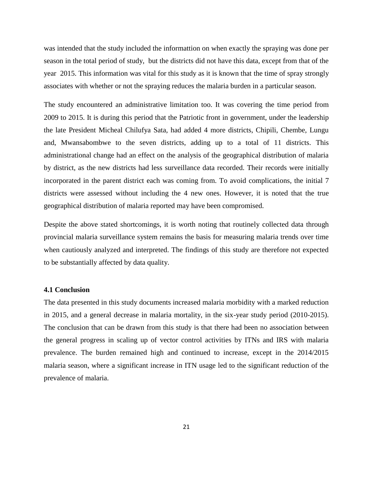was intended that the study included the informattion on when exactly the spraying was done per season in the total period of study, but the districts did not have this data, except from that of the year 2015. This information was vital for this study as it is known that the time of spray strongly associates with whether or not the spraying reduces the malaria burden in a particular season.

The study encountered an administrative limitation too. It was covering the time period from 2009 to 2015. It is during this period that the Patriotic front in government, under the leadership the late President Micheal Chilufya Sata, had added 4 more districts, Chipili, Chembe, Lungu and, Mwansabombwe to the seven districts, adding up to a total of 11 districts. This administrational change had an effect on the analysis of the geographical distribution of malaria by district, as the new districts had less surveillance data recorded. Their records were initially incorporated in the parent district each was coming from. To avoid complications, the initial 7 districts were assessed without including the 4 new ones. However, it is noted that the true geographical distribution of malaria reported may have been compromised.

Despite the above stated shortcomings, it is worth noting that routinely collected data through provincial malaria surveillance system remains the basis for measuring malaria trends over time when cautiously analyzed and interpreted. The findings of this study are therefore not expected to be substantially affected by data quality.

#### **4.1 Conclusion**

The data presented in this study documents increased malaria morbidity with a marked reduction in 2015, and a general decrease in malaria mortality, in the six-year study period (2010-2015). The conclusion that can be drawn from this study is that there had been no association between the general progress in scaling up of vector control activities by ITNs and IRS with malaria prevalence. The burden remained high and continued to increase, except in the 2014/2015 malaria season, where a significant increase in ITN usage led to the significant reduction of the prevalence of malaria.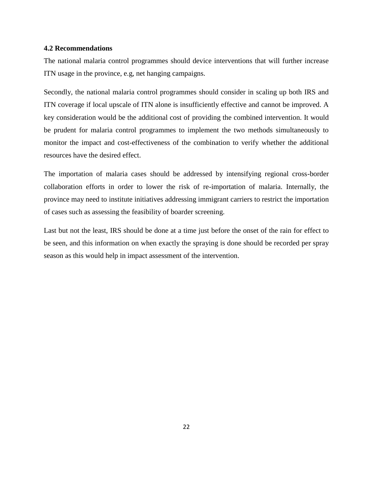#### **4.2 Recommendations**

The national malaria control programmes should device interventions that will further increase ITN usage in the province, e.g, net hanging campaigns.

Secondly, the national malaria control programmes should consider in scaling up both IRS and ITN coverage if local upscale of ITN alone is insufficiently effective and cannot be improved. A key consideration would be the additional cost of providing the combined intervention. It would be prudent for malaria control programmes to implement the two methods simultaneously to monitor the impact and cost-effectiveness of the combination to verify whether the additional resources have the desired effect.

The importation of malaria cases should be addressed by intensifying regional cross-border collaboration efforts in order to lower the risk of re-importation of malaria. Internally, the province may need to institute initiatives addressing immigrant carriers to restrict the importation of cases such as assessing the feasibility of boarder screening.

Last but not the least, IRS should be done at a time just before the onset of the rain for effect to be seen, and this information on when exactly the spraying is done should be recorded per spray season as this would help in impact assessment of the intervention.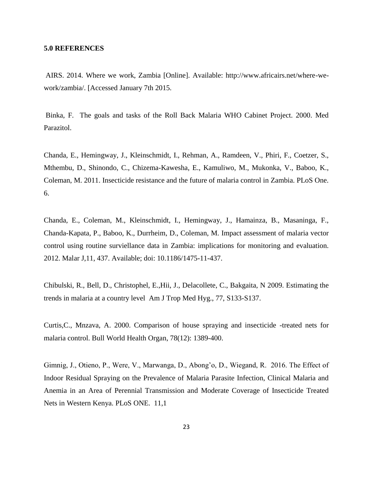#### <span id="page-33-0"></span>**5.0 REFERENCES**

AIRS. 2014. Where we work, Zambia [Online]. Available: http://www.africairs.net/where-wework/zambia/. [Accessed January 7th 2015.

Binka, F. The goals and tasks of the Roll Back Malaria WHO Cabinet Project. 2000. Med Parazitol.

Chanda, E., Hemingway, J., Kleinschmidt, I., Rehman, A., Ramdeen, V., Phiri, F., Coetzer, S., Mthembu, D., Shinondo, C., Chizema-Kawesha, E., Kamuliwo, M., Mukonka, V., Baboo, K., Coleman, M. 2011. Insecticide resistance and the future of malaria control in Zambia. PLoS One. 6.

Chanda, E., Coleman, M., Kleinschmidt, I., Hemingway, J., Hamainza, B., Masaninga, F., Chanda-Kapata, P., Baboo, K., Durrheim, D., Coleman, M. Impact assessment of malaria vector control using routine surviellance data in Zambia: implications for monitoring and evaluation. 2012. Malar J,11, 437. Available; doi: 10.1186/1475-11-437.

Chibulski, R., Bell, D., Christophel, E.,Hii, J., Delacollete, C., Bakgaita, N 2009. Estimating the trends in malaria at a country level Am J Trop Med Hyg., 77, S133-S137.

Curtis,C., Mnzava, A. 2000. Comparison of house spraying and insecticide -treated nets for malaria control. Bull World Health Organ, 78(12): 1389-400.

Gimnig, J., Otieno, P., Were, V., Marwanga, D., Abong'o, D., Wiegand, R. 2016. The Effect of Indoor Residual Spraying on the Prevalence of Malaria Parasite Infection, Clinical Malaria and Anemia in an Area of Perennial Transmission and Moderate Coverage of Insecticide Treated Nets in Western Kenya. PLoS ONE. 11,1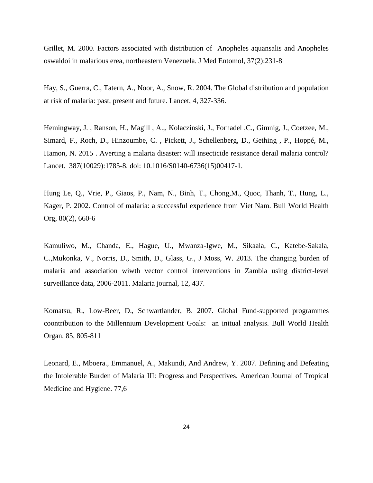Grillet, M. 2000. Factors associated with distribution of Anopheles aquansalis and Anopheles oswaldoi in malarious erea, northeastern Venezuela. J Med Entomol, 37(2):231-8

Hay, S., Guerra, C., Tatern, A., Noor, A., Snow, R. 2004. The Global distribution and population at risk of malaria: past, present and future. Lancet, 4, 327-336.

Hemingway, J. , Ranson, H., Magill , A.,, Kolaczinski, J., Fornadel ,C., Gimnig, J., Coetzee, M., Simard, F., Roch, D., Hinzoumbe, C. , Pickett, J., Schellenberg, D., Gething , P., Hoppé, M., Hamon, N. 2015 . Averting a malaria disaster: will insecticide resistance derail malaria control? Lancet. 387(10029):1785-8. doi: 10.1016/S0140-6736(15)00417-1.

Hung Le, Q., Vrie, P., Giaos, P., Nam, N., Binh, T., Chong,M., Quoc, Thanh, T., Hung, L., Kager, P. 2002. Control of malaria: a successful experience from Viet Nam. Bull World Health Org, 80(2), 660-6

Kamuliwo, M., Chanda, E., Hague, U., Mwanza-Igwe, M., Sikaala, C., Katebe-Sakala, C.,Mukonka, V., Norris, D., Smith, D., Glass, G., J Moss, W. 2013. The changing burden of malaria and association wiwth vector control interventions in Zambia using district-level surveillance data, 2006-2011. Malaria journal, 12, 437.

Komatsu, R., Low-Beer, D., Schwartlander, B. 2007. Global Fund-supported programmes coontribution to the Millennium Development Goals: an initual analysis. Bull World Health Organ. 85, 805-811

Leonard, E., Mboera., Emmanuel, A., Makundi, And Andrew, Y. 2007. Defining and Defeating the Intolerable Burden of Malaria III: Progress and Perspectives. American Journal of Tropical Medicine and Hygiene. 77,6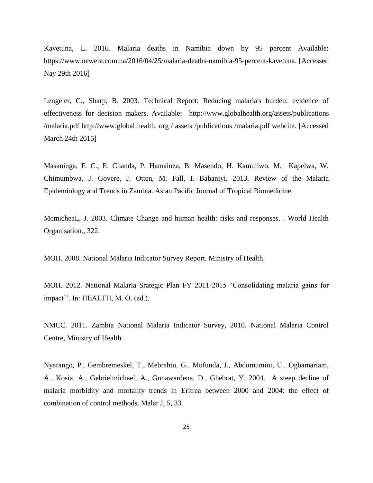Kavetuna, L. 2016. Malaria deaths in Namibia down by 95 percent Available: https://www.newera.com.na/2016/04/25/malaria-deaths-namibia-95-percent-kavetuna. [Accessed Nay 29th 2016]

Lengeler, C., Sharp, B. 2003. Technical Report: Reducing malaria's burden: evidence of effectiveness for decision makers. Available: http://www.globalhealth.org/assets/publications /malaria.pdf http://www.global health. org / assets /publications /malaria.pdf webcite. [Accessed March 24th 2015]

Masaninga, F. C., E. Chanda, P. Hamainza, B. Masendo, H. Kamuliwo, M. Kapelwa, W. Chimumbwa, J. Govere, J. Otten, M. Fall, I. Babaniyi. 2013. Review of the Malaria Epidemiology and Trends in Zambia. Asian Pacific Journal of Tropical Biomedicine.

McmicheaL, J. 2003. Climate Change and human health: risks and responses. . World Health Organisation., 322.

MOH. 2008. National Malaria Indicator Survey Report. Ministry of Health.

MOH. 2012. National Malaria Srategic Plan FY 2011-2015 "Consolidating malaria gains for impact''. In: HEALTH, M. O. (ed.).

NMCC. 2011. Zambia National Malaria Indicator Survey, 2010. National Malaria Control Centre, Ministry of Health

Nyarango, P., Gembremeskel, T., Mebrahtu, G., Mufunda, J., Abdumumini, U., Ogbamariam, A., Kosia, A., Gebrielmichael, A., Gunawardena, D., Ghebrat, Y. 2004. A steep decline of malaria morbidity and mortality trends in Eritrea between 2000 and 2004: the effect of combination of control methods. Malar J, 5, 33.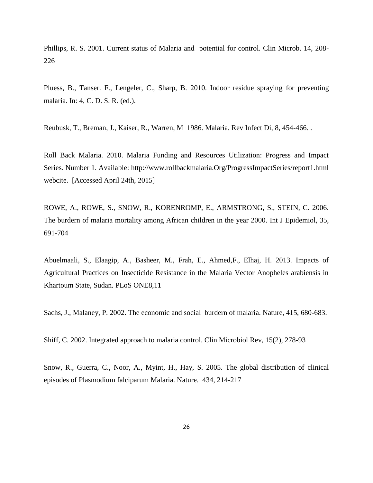Phillips, R. S. 2001. Current status of Malaria and potential for control. Clin Microb. 14, 208- 226

Pluess, B., Tanser. F., Lengeler, C., Sharp, B. 2010. Indoor residue spraying for preventing malaria. In: 4, C. D. S. R. (ed.).

Reubusk, T., Breman, J., Kaiser, R., Warren, M 1986. Malaria. Rev Infect Di, 8, 454-466. .

Roll Back Malaria. 2010. Malaria Funding and Resources Utilization: Progress and Impact Series. Number 1. Available: http://www.rollbackmalaria.Org/ProgressImpactSeries/report1.html webcite. [Accessed April 24th, 2015]

ROWE, A., ROWE, S., SNOW, R., KORENROMP, E., ARMSTRONG, S., STEIN, C. 2006. The burdern of malaria mortality among African children in the year 2000. Int J Epidemiol, 35, 691-704

Abuelmaali, S., Elaagip, A., Basheer, M., Frah, E., Ahmed,F., Elhaj, H. 2013. Impacts of Agricultural Practices on Insecticide Resistance in the Malaria Vector Anopheles arabiensis in Khartoum State, Sudan. PLoS ONE8,11

Sachs, J., Malaney, P. 2002. The economic and social burdern of malaria. Nature, 415, 680-683.

Shiff, C. 2002. Integrated approach to malaria control. Clin Microbiol Rev, 15(2), 278-93

Snow, R., Guerra, C., Noor, A., Myint, H., Hay, S. 2005. The global distribution of clinical episodes of Plasmodium falciparum Malaria. Nature. 434, 214-217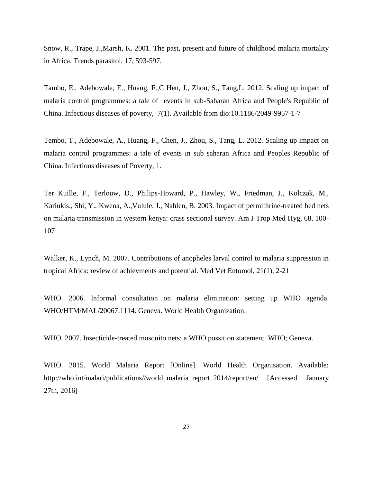Snow, R., Trape, J.,Marsh, K. 2001. The past, present and future of childhood malaria mortality in Africa. Trends parasitol, 17, 593-597.

Tambo, E., Adebowale, E., Huang, F.,C Hen, J., Zhou, S., Tang,L. 2012. Scaling up impact of malaria control programmes: a tale of events in sub-Saharan Africa and People's Republic of China. Infectious diseases of poverty, 7(1). Available from dio:10.1186/2049-9957-1-7

Tembo, T., Adebowale, A., Huang, F., Chen, J., Zhou, S., Tang, L. 2012. Scaling up impact on malaria control programmes: a tale of events in sub saharan Africa and Peoples Republic of China. Infectious diseases of Poverty, 1.

Ter Kuille, F., Terlouw, D., Philips-Howard, P., Hawley, W., Friedman, J., Kolczak, M., Kariukis., Shi, Y., Kwena, A.,Vulule, J., Nahlen, B. 2003. Impact of permithrine-treated bed nets on malaria transmission in western kenya: crass sectional survey. Am J Trop Med Hyg, 68, 100- 107

Walker, K., Lynch, M. 2007. Contributions of anopheles larval control to malaria suppression in tropical Africa: review of achievments and potential. Med Vet Entomol, 21(1), 2-21

WHO. 2006. Informal consultation on malaria elimination: setting up WHO agenda. WHO/HTM/MAL/20067.1114. Geneva. World Health Organization.

WHO. 2007. Insecticide-treated mosquito nets: a WHO possition statement. WHO; Geneva.

WHO. 2015. World Malaria Report [Online]. World Health Organisation. Available: http://who.int/malari/publications//world\_malaria\_report\_2014/report/en/ [Accessed January 27th, 2016]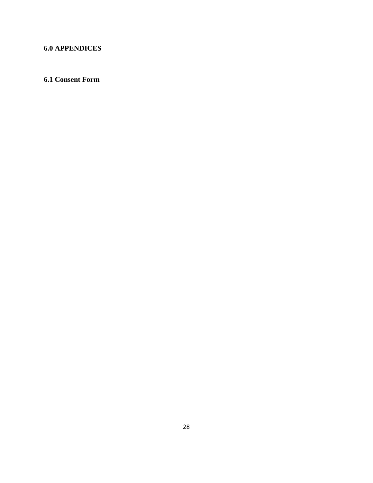# **6.0 APPENDICES**

# **6.1 Consent Form**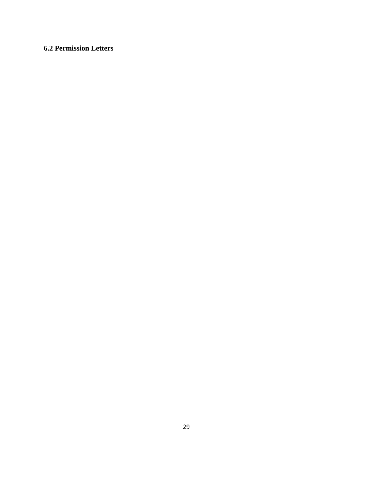# **6.2 Permission Letters**